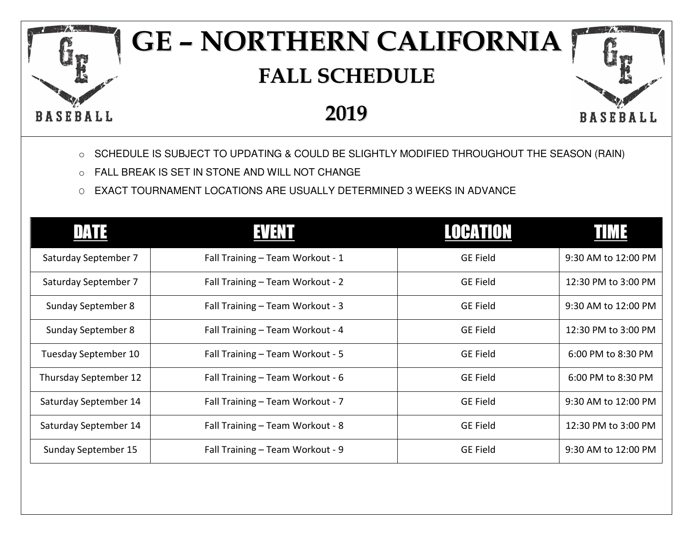## **GE – NORTHERN CALIFORNIA FALL SCHEDULE**

## **2019**

**BASEBALL** 

- o SCHEDULE IS SUBJECT TO UPDATING & COULD BE SLIGHTLY MODIFIED THROUGHOUT THE SEASON (RAIN)
- o FALL BREAK IS SET IN STONE AND WILL NOT CHANGE

**BASEBALL** 

O EXACT TOURNAMENT LOCATIONS ARE USUALLY DETERMINED 3 WEEKS IN ADVANCE

| 11/AT 7                   | EVENT                            | LOCATION        |                     |
|---------------------------|----------------------------------|-----------------|---------------------|
| Saturday September 7      | Fall Training - Team Workout - 1 | <b>GE Field</b> | 9:30 AM to 12:00 PM |
| Saturday September 7      | Fall Training - Team Workout - 2 | <b>GE Field</b> | 12:30 PM to 3:00 PM |
| Sunday September 8        | Fall Training - Team Workout - 3 | <b>GE Field</b> | 9:30 AM to 12:00 PM |
| <b>Sunday September 8</b> | Fall Training - Team Workout - 4 | <b>GE Field</b> | 12:30 PM to 3:00 PM |
| Tuesday September 10      | Fall Training - Team Workout - 5 | <b>GE Field</b> | 6:00 PM to 8:30 PM  |
| Thursday September 12     | Fall Training - Team Workout - 6 | <b>GE Field</b> | 6:00 PM to 8:30 PM  |
| Saturday September 14     | Fall Training - Team Workout - 7 | <b>GE Field</b> | 9:30 AM to 12:00 PM |
| Saturday September 14     | Fall Training - Team Workout - 8 | <b>GE Field</b> | 12:30 PM to 3:00 PM |
| Sunday September 15       | Fall Training - Team Workout - 9 | <b>GE Field</b> | 9:30 AM to 12:00 PM |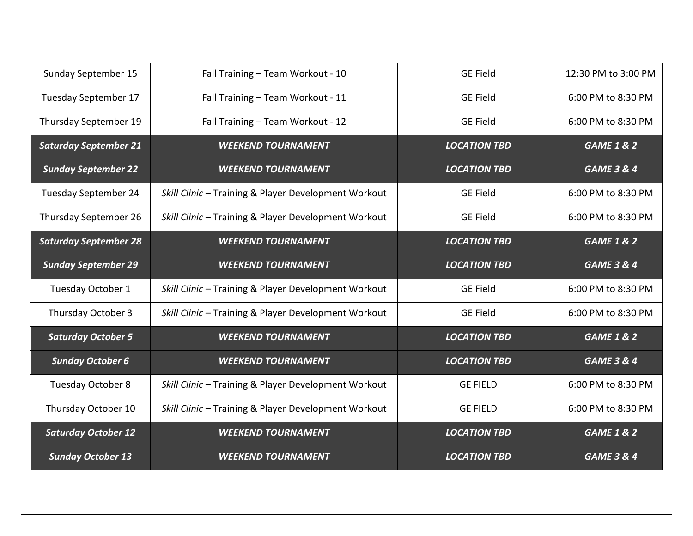| Sunday September 15          | Fall Training - Team Workout - 10                    | <b>GE Field</b>     | 12:30 PM to 3:00 PM   |
|------------------------------|------------------------------------------------------|---------------------|-----------------------|
| Tuesday September 17         | Fall Training - Team Workout - 11                    | <b>GE Field</b>     | 6:00 PM to 8:30 PM    |
| Thursday September 19        | Fall Training - Team Workout - 12                    | <b>GE Field</b>     | 6:00 PM to 8:30 PM    |
| <b>Saturday September 21</b> | <b>WEEKEND TOURNAMENT</b>                            | <b>LOCATION TBD</b> | <b>GAME 1 &amp; 2</b> |
| <b>Sunday September 22</b>   | <b>WEEKEND TOURNAMENT</b>                            | <b>LOCATION TBD</b> | <b>GAME 3 &amp; 4</b> |
| <b>Tuesday September 24</b>  | Skill Clinic - Training & Player Development Workout | <b>GE Field</b>     | 6:00 PM to 8:30 PM    |
| Thursday September 26        | Skill Clinic - Training & Player Development Workout | <b>GE Field</b>     | 6:00 PM to 8:30 PM    |
| <b>Saturday September 28</b> | <b>WEEKEND TOURNAMENT</b>                            | <b>LOCATION TBD</b> | <b>GAME 1 &amp; 2</b> |
| <b>Sunday September 29</b>   | <b>WEEKEND TOURNAMENT</b>                            | <b>LOCATION TBD</b> | <b>GAME 3 &amp; 4</b> |
| Tuesday October 1            | Skill Clinic - Training & Player Development Workout | <b>GE Field</b>     | 6:00 PM to 8:30 PM    |
| Thursday October 3           | Skill Clinic - Training & Player Development Workout | <b>GE Field</b>     | 6:00 PM to 8:30 PM    |
| <b>Saturday October 5</b>    | <b>WEEKEND TOURNAMENT</b>                            | <b>LOCATION TBD</b> | <b>GAME 1 &amp; 2</b> |
| <b>Sunday October 6</b>      | <b>WEEKEND TOURNAMENT</b>                            | <b>LOCATION TBD</b> | <b>GAME 3 &amp; 4</b> |
| Tuesday October 8            | Skill Clinic - Training & Player Development Workout | <b>GE FIELD</b>     | 6:00 PM to 8:30 PM    |
| Thursday October 10          | Skill Clinic - Training & Player Development Workout | <b>GE FIELD</b>     | 6:00 PM to 8:30 PM    |
| <b>Saturday October 12</b>   | <b>WEEKEND TOURNAMENT</b>                            | <b>LOCATION TBD</b> | <b>GAME 1 &amp; 2</b> |
| <b>Sunday October 13</b>     | <b>WEEKEND TOURNAMENT</b>                            | <b>LOCATION TBD</b> | <b>GAME 3 &amp; 4</b> |